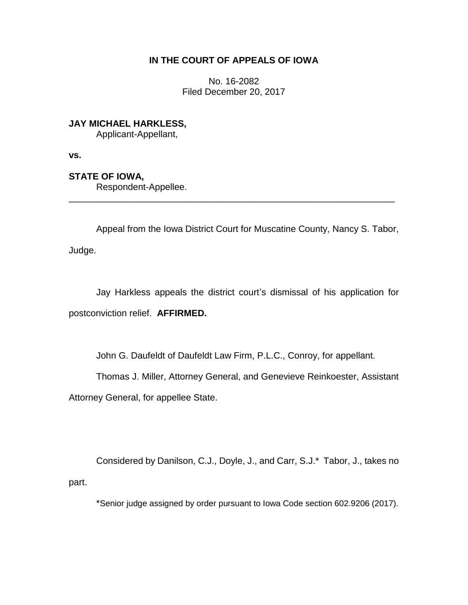## **IN THE COURT OF APPEALS OF IOWA**

No. 16-2082 Filed December 20, 2017

**JAY MICHAEL HARKLESS,** Applicant-Appellant,

**vs.**

**STATE OF IOWA,**

Respondent-Appellee.

Appeal from the Iowa District Court for Muscatine County, Nancy S. Tabor, Judge.

\_\_\_\_\_\_\_\_\_\_\_\_\_\_\_\_\_\_\_\_\_\_\_\_\_\_\_\_\_\_\_\_\_\_\_\_\_\_\_\_\_\_\_\_\_\_\_\_\_\_\_\_\_\_\_\_\_\_\_\_\_\_\_\_

Jay Harkless appeals the district court's dismissal of his application for postconviction relief. **AFFIRMED.**

John G. Daufeldt of Daufeldt Law Firm, P.L.C., Conroy, for appellant.

Thomas J. Miller, Attorney General, and Genevieve Reinkoester, Assistant

Attorney General, for appellee State.

Considered by Danilson, C.J., Doyle, J., and Carr, S.J.\* Tabor, J., takes no part.

\*Senior judge assigned by order pursuant to Iowa Code section 602.9206 (2017).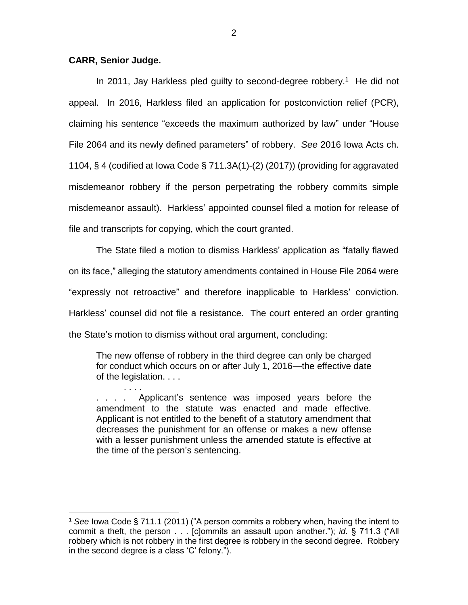## **CARR, Senior Judge.**

. . . .

 $\overline{a}$ 

In 2011, Jay Harkless pled guilty to second-degree robbery.<sup>1</sup> He did not appeal. In 2016, Harkless filed an application for postconviction relief (PCR), claiming his sentence "exceeds the maximum authorized by law" under "House File 2064 and its newly defined parameters" of robbery. *See* 2016 Iowa Acts ch. 1104, § 4 (codified at Iowa Code § 711.3A(1)-(2) (2017)) (providing for aggravated misdemeanor robbery if the person perpetrating the robbery commits simple misdemeanor assault). Harkless' appointed counsel filed a motion for release of file and transcripts for copying, which the court granted.

The State filed a motion to dismiss Harkless' application as "fatally flawed on its face," alleging the statutory amendments contained in House File 2064 were "expressly not retroactive" and therefore inapplicable to Harkless' conviction. Harkless' counsel did not file a resistance. The court entered an order granting the State's motion to dismiss without oral argument, concluding:

The new offense of robbery in the third degree can only be charged for conduct which occurs on or after July 1, 2016—the effective date of the legislation. . . .

. . . . Applicant's sentence was imposed years before the amendment to the statute was enacted and made effective. Applicant is not entitled to the benefit of a statutory amendment that decreases the punishment for an offense or makes a new offense with a lesser punishment unless the amended statute is effective at the time of the person's sentencing.

<sup>1</sup> *See* Iowa Code § 711.1 (2011) ("A person commits a robbery when, having the intent to commit a theft, the person . . . [c]ommits an assault upon another."); *id*. § 711.3 ("All robbery which is not robbery in the first degree is robbery in the second degree. Robbery in the second degree is a class 'C' felony.").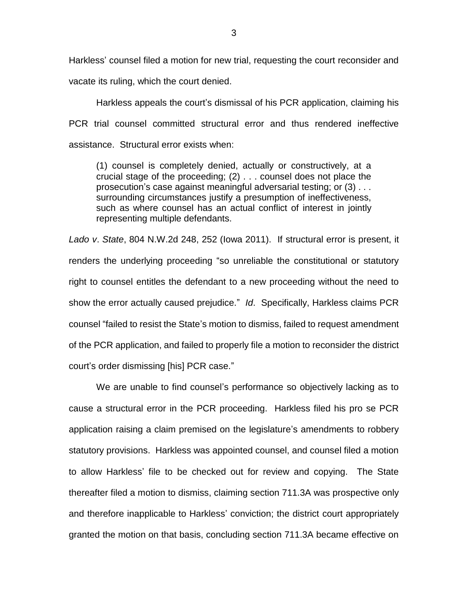Harkless' counsel filed a motion for new trial, requesting the court reconsider and vacate its ruling, which the court denied.

Harkless appeals the court's dismissal of his PCR application, claiming his PCR trial counsel committed structural error and thus rendered ineffective assistance. Structural error exists when:

(1) counsel is completely denied, actually or constructively, at a crucial stage of the proceeding; (2) . . . counsel does not place the prosecution's case against meaningful adversarial testing; or (3) . . . surrounding circumstances justify a presumption of ineffectiveness, such as where counsel has an actual conflict of interest in jointly representing multiple defendants.

*Lado v*. *State*, 804 N.W.2d 248, 252 (Iowa 2011). If structural error is present, it renders the underlying proceeding "so unreliable the constitutional or statutory right to counsel entitles the defendant to a new proceeding without the need to show the error actually caused prejudice." *Id*. Specifically, Harkless claims PCR counsel "failed to resist the State's motion to dismiss, failed to request amendment of the PCR application, and failed to properly file a motion to reconsider the district court's order dismissing [his] PCR case."

We are unable to find counsel's performance so objectively lacking as to cause a structural error in the PCR proceeding. Harkless filed his pro se PCR application raising a claim premised on the legislature's amendments to robbery statutory provisions. Harkless was appointed counsel, and counsel filed a motion to allow Harkless' file to be checked out for review and copying. The State thereafter filed a motion to dismiss, claiming section 711.3A was prospective only and therefore inapplicable to Harkless' conviction; the district court appropriately granted the motion on that basis, concluding section 711.3A became effective on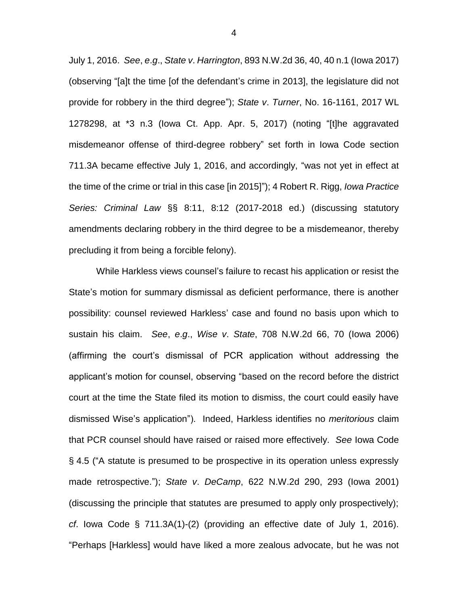July 1, 2016. *See*, *e*.*g*., *State v*. *Harrington*, 893 N.W.2d 36, 40, 40 n.1 (Iowa 2017) (observing "[a]t the time [of the defendant's crime in 2013], the legislature did not provide for robbery in the third degree"); *State v*. *Turner*, No. 16-1161, 2017 WL 1278298, at \*3 n.3 (Iowa Ct. App. Apr. 5, 2017) (noting "[t]he aggravated misdemeanor offense of third-degree robbery" set forth in Iowa Code section 711.3A became effective July 1, 2016, and accordingly, "was not yet in effect at the time of the crime or trial in this case [in 2015]"); 4 Robert R. Rigg, *Iowa Practice Series: Criminal Law* §§ 8:11, 8:12 (2017-2018 ed.) (discussing statutory amendments declaring robbery in the third degree to be a misdemeanor, thereby precluding it from being a forcible felony).

While Harkless views counsel's failure to recast his application or resist the State's motion for summary dismissal as deficient performance, there is another possibility: counsel reviewed Harkless' case and found no basis upon which to sustain his claim. *See*, *e*.*g*., *Wise v*. *State*, 708 N.W.2d 66, 70 (Iowa 2006) (affirming the court's dismissal of PCR application without addressing the applicant's motion for counsel, observing "based on the record before the district court at the time the State filed its motion to dismiss, the court could easily have dismissed Wise's application"). Indeed, Harkless identifies no *meritorious* claim that PCR counsel should have raised or raised more effectively. *See* Iowa Code § 4.5 ("A statute is presumed to be prospective in its operation unless expressly made retrospective."); *State v*. *DeCamp*, 622 N.W.2d 290, 293 (Iowa 2001) (discussing the principle that statutes are presumed to apply only prospectively); *cf*. Iowa Code § 711.3A(1)-(2) (providing an effective date of July 1, 2016). "Perhaps [Harkless] would have liked a more zealous advocate, but he was not